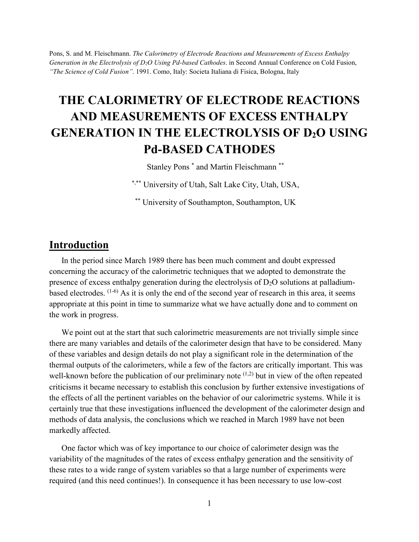Pons, S. and M. Fleischmann. *The Calorimetry of Electrode Reactions and Measurements of Excess Enthalpy Generation in the Electrolysis of D2O Using Pd-based Cathodes*. in Second Annual Conference on Cold Fusion, *"The Science of Cold Fusion"*. 1991. Como, Italy: Societa Italiana di Fisica, Bologna, Italy

# **THE CALORIMETRY OF ELECTRODE REACTIONS AND MEASUREMENTS OF EXCESS ENTHALPY GENERATION IN THE ELECTROLYSIS OF D2O USING Pd-BASED CATHODES**

Stanley Pons \* and Martin Fleischmann \*\*

\*,\*\* University of Utah, Salt Lake City, Utah, USA,

\*\* University of Southampton, Southampton, UK

#### **Introduction**

In the period since March 1989 there has been much comment and doubt expressed concerning the accuracy of the calorimetric techniques that we adopted to demonstrate the presence of excess enthalpy generation during the electrolysis of  $D_2O$  solutions at palladiumbased electrodes.  $(1-6)$  As it is only the end of the second year of research in this area, it seems appropriate at this point in time to summarize what we have actually done and to comment on the work in progress.

We point out at the start that such calorimetric measurements are not trivially simple since there are many variables and details of the calorimeter design that have to be considered. Many of these variables and design details do not play a significant role in the determination of the thermal outputs of the calorimeters, while a few of the factors are critically important. This was well-known before the publication of our preliminary note  $(1,2)$  but in view of the often repeated criticisms it became necessary to establish this conclusion by further extensive investigations of the effects of all the pertinent variables on the behavior of our calorimetric systems. While it is certainly true that these investigations influenced the development of the calorimeter design and methods of data analysis, the conclusions which we reached in March 1989 have not been markedly affected.

One factor which was of key importance to our choice of calorimeter design was the variability of the magnitudes of the rates of excess enthalpy generation and the sensitivity of these rates to a wide range of system variables so that a large number of experiments were required (and this need continues!). In consequence it has been necessary to use low-cost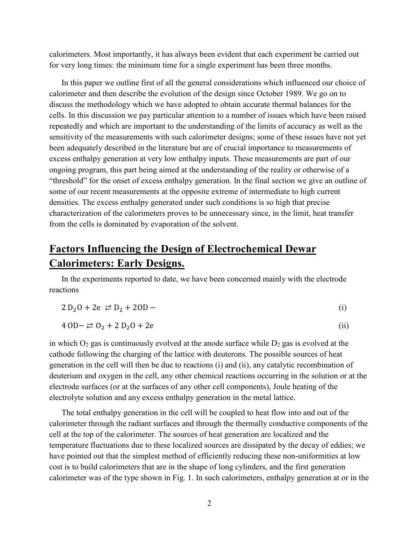calorimeters. Most importantly, it has always been evident that each experiment be carried out for very long times: the minimum time for a single experiment has been three months.

In this paper we outline first of all the general considerations which influenced our choice of calorimeter and then describe the evolution of the design since October 1989. We go on to discuss the methodology which we have adopted to obtain accurate thermal balances for the cells. In this discussion we pay particular attention to a number of issues which have been raised repeatedly and which are important to the understanding of the limits of accuracy as well as the sensitivity of the measurements with such calorimeter designs; some of these issues have not yet been adequately described in the literature but are of crucial importance to measurements of excess enthalpy generation at very low enthalpy inputs. These measurements are part of our ongoing program, this part being aimed at the understanding of the reality or otherwise of a "threshold" for the onset of excess enthalpy generation. In the final section we give an outline of some of our recent measurements at the opposite extreme of intermediate to high current densities. The excess enthalpy generated under such conditions is so high that precise characterization of the calorimeters proves to be unnecessary since, in the limit, heat transfer from the cells is dominated by evaporation of the solvent.

### **Factors Influencing the Design of Electrochemical Dewar Calorimeters: Early Designs.**

In the experiments reported to date, we have been concerned mainly with the electrode reactions

$$
2 D_2 O + 2e \ge D_2 + 2O D - (i)
$$

$$
4 \text{ OD} - \rightleftarrows 0_2 + 2 \text{ D}_2\text{O} + 2\text{e}
$$
 (ii)

in which  $O_2$  gas is continuously evolved at the anode surface while  $D_2$  gas is evolved at the cathode following the charging of the lattice with deuterons. The possible sources of heat generation in the cell will then be due to reactions (i) and (ii), any catalytic recombination of deuterium and oxygen in the cell, any other chemical reactions occurring in the solution or at the electrode surfaces (or at the surfaces of any other cell components), Joule heating of the electrolyte solution and any excess enthalpy generation in the metal lattice.

The total enthalpy generation in the cell will be coupled to heat flow into and out of the calorimeter through the radiant surfaces and through the thermally conductive components of the cell at the top of the calorimeter. The sources of heat generation are localized and the temperature fluctuations due to these localized sources are dissipated by the decay of eddies; we have pointed out that the simplest method of efficiently reducing these non-uniformities at low cost is to build calorimeters that are in the shape of long cylinders, and the first generation calorimeter was of the type shown in Fig. 1. In such calorimeters, enthalpy generation at or in the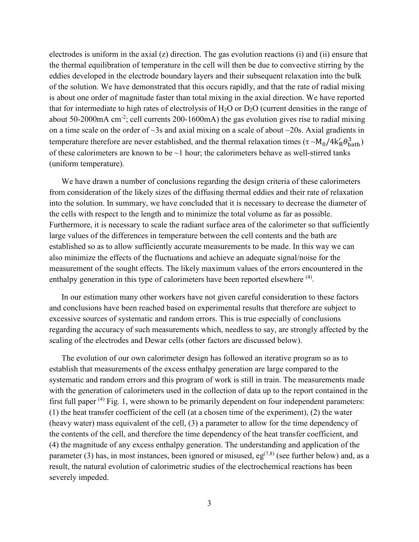electrodes is uniform in the axial (z) direction. The gas evolution reactions (i) and (ii) ensure that the thermal equilibration of temperature in the cell will then be due to convective stirring by the eddies developed in the electrode boundary layers and their subsequent relaxation into the bulk of the solution. We have demonstrated that this occurs rapidly, and that the rate of radial mixing is about one order of magnitude faster than total mixing in the axial direction. We have reported that for intermediate to high rates of electrolysis of  $H_2O$  or  $D_2O$  (current densities in the range of about 50-2000mA cm<sup>-2</sup>; cell currents 200-1600mA) the gas evolution gives rise to radial mixing on a time scale on the order of  $\sim$ 3s and axial mixing on a scale of about  $\sim$ 20s. Axial gradients in temperature therefore are never established, and the thermal relaxation times  $(\tau \sim M_0/4k_R' \theta_{\rm bath}^3)$ of these calorimeters are known to be  $\sim$ 1 hour; the calorimeters behave as well-stirred tanks (uniform temperature).

We have drawn a number of conclusions regarding the design criteria of these calorimeters from consideration of the likely sizes of the diffusing thermal eddies and their rate of relaxation into the solution. In summary, we have concluded that it is necessary to decrease the diameter of the cells with respect to the length and to minimize the total volume as far as possible. Furthermore, it is necessary to scale the radiant surface area of the calorimeter so that sufficiently large values of the differences in temperature between the cell contents and the bath are established so as to allow sufficiently accurate measurements to be made. In this way we can also minimize the effects of the fluctuations and achieve an adequate signal/noise for the measurement of the sought effects. The likely maximum values of the errors encountered in the enthalpy generation in this type of calorimeters have been reported elsewhere (4).

In our estimation many other workers have not given careful consideration to these factors and conclusions have been reached based on experimental results that therefore are subject to excessive sources of systematic and random errors. This is true especially of conclusions regarding the accuracy of such measurements which, needless to say, are strongly affected by the scaling of the electrodes and Dewar cells (other factors are discussed below).

The evolution of our own calorimeter design has followed an iterative program so as to establish that measurements of the excess enthalpy generation are large compared to the systematic and random errors and this program of work is still in train. The measurements made with the generation of calorimeters used in the collection of data up to the report contained in the first full paper  $(4)$  Fig. 1, were shown to be primarily dependent on four independent parameters: (1) the heat transfer coefficient of the cell (at a chosen time of the experiment), (2) the water (heavy water) mass equivalent of the cell, (3) a parameter to allow for the time dependency of the contents of the cell, and therefore the time dependency of the heat transfer coefficient, and (4) the magnitude of any excess enthalpy generation. The understanding and application of the parameter (3) has, in most instances, been ignored or misused, eg<sup>(7,8)</sup> (see further below) and, as a result, the natural evolution of calorimetric studies of the electrochemical reactions has been severely impeded.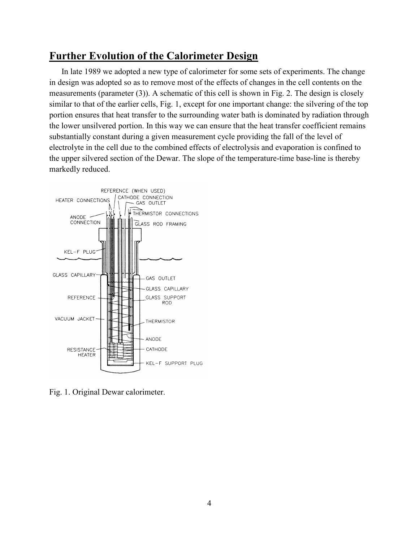### **Further Evolution of the Calorimeter Design**

In late 1989 we adopted a new type of calorimeter for some sets of experiments. The change in design was adopted so as to remove most of the effects of changes in the cell contents on the measurements (parameter (3)). A schematic of this cell is shown in Fig. 2. The design is closely similar to that of the earlier cells, Fig. 1, except for one important change: the silvering of the top portion ensures that heat transfer to the surrounding water bath is dominated by radiation through the lower unsilvered portion. In this way we can ensure that the heat transfer coefficient remains substantially constant during a given measurement cycle providing the fall of the level of electrolyte in the cell due to the combined effects of electrolysis and evaporation is confined to the upper silvered section of the Dewar. The slope of the temperature-time base-line is thereby markedly reduced.



Fig. 1. Original Dewar calorimeter.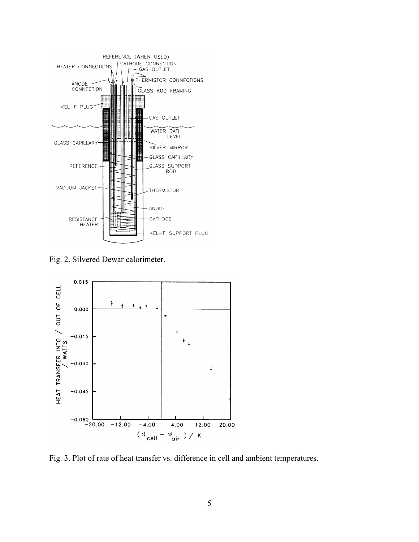

Fig. 2. Silvered Dewar calorimeter.



Fig. 3. Plot of rate of heat transfer vs. difference in cell and ambient temperatures.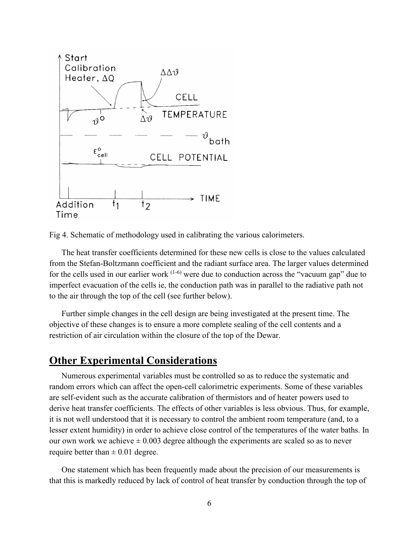

Fig 4. Schematic of methodology used in calibrating the various calorimeters.

The heat transfer coefficients determined for these new cells is close to the values calculated from the Stefan-Boltzmann coefficient and the radiant surface area. The larger values determined for the cells used in our earlier work  $(1-6)$  were due to conduction across the "vacuum gap" due to imperfect evacuation of the cells ie, the conduction path was in parallel to the radiative path not to the air through the top of the cell (see further below).

Further simple changes in the cell design are being investigated at the present time. The objective of these changes is to ensure a more complete sealing of the cell contents and a restriction of air circulation within the closure of the top of the Dewar.

#### **Other Experimental Considerations**

Numerous experimental variables must be controlled so as to reduce the systematic and random errors which can affect the open-cell calorimetric experiments. Some of these variables are self-evident such as the accurate calibration of thermistors and of heater powers used to derive heat transfer coefficients. The effects of other variables is less obvious. Thus, for example, it is not well understood that it is necessary to control the ambient room temperature (and, to a lesser extent humidity) in order to achieve close control of the temperatures of the water baths. In our own work we achieve  $\pm 0.003$  degree although the experiments are scaled so as to never require better than  $\pm$  0.01 degree.

One statement which has been frequently made about the precision of our measurements is that this is markedly reduced by lack of control of heat transfer by conduction through the top of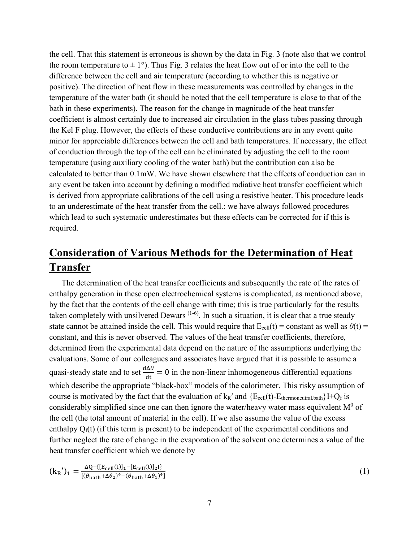the cell. That this statement is erroneous is shown by the data in Fig. 3 (note also that we control the room temperature to  $\pm 1^{\circ}$ ). Thus Fig. 3 relates the heat flow out of or into the cell to the difference between the cell and air temperature (according to whether this is negative or positive). The direction of heat flow in these measurements was controlled by changes in the temperature of the water bath (it should be noted that the cell temperature is close to that of the bath in these experiments). The reason for the change in magnitude of the heat transfer coefficient is almost certainly due to increased air circulation in the glass tubes passing through the Kel F plug. However, the effects of these conductive contributions are in any event quite minor for appreciable differences between the cell and bath temperatures. If necessary, the effect of conduction through the top of the cell can be eliminated by adjusting the cell to the room temperature (using auxiliary cooling of the water bath) but the contribution can also be calculated to better than 0.1mW. We have shown elsewhere that the effects of conduction can in any event be taken into account by defining a modified radiative heat transfer coefficient which is derived from appropriate calibrations of the cell using a resistive heater. This procedure leads to an underestimate of the heat transfer from the cell.: we have always followed procedures which lead to such systematic underestimates but these effects can be corrected for if this is required.

### **Consideration of Various Methods for the Determination of Heat Transfer**

The determination of the heat transfer coefficients and subsequently the rate of the rates of enthalpy generation in these open electrochemical systems is complicated, as mentioned above, by the fact that the contents of the cell change with time; this is true particularly for the results taken completely with unsilvered Dewars  $(1-6)$ . In such a situation, it is clear that a true steady state cannot be attained inside the cell. This would require that  $E_{cell}(t) = constant$  as well as  $\theta(t) =$ constant, and this is never observed. The values of the heat transfer coefficients, therefore, determined from the experimental data depend on the nature of the assumptions underlying the evaluations. Some of our colleagues and associates have argued that it is possible to assume a quasi-steady state and to set  $\frac{d\Delta\theta}{dt} = 0$  in the non-linear inhomogeneous differential equations which describe the appropriate "black-box" models of the calorimeter. This risky assumption of course is motivated by the fact that the evaluation of  $k_R'$  and  $\{E_{cell}(t) - E_{thermoneutrial, bath}\}$   $\}$ considerably simplified since one can then ignore the water/heavy water mass equivalent  $M^0$  of the cell (the total amount of material in the cell). If we also assume the value of the excess enthalpy  $Q_f(t)$  (if this term is present) to be independent of the experimental conditions and further neglect the rate of change in the evaporation of the solvent one determines a value of the heat transfer coefficient which we denote by

$$
(\mathbf{k}_{R}')_{1} = \frac{\Delta Q - \{[\mathbf{E}_{cell}(\mathbf{t})]_{1} - [\mathbf{E}_{cell}(\mathbf{t})]_{2}]\}}{[(\theta_{\text{bath}} + \Delta \theta_{2})^{4} - (\theta_{\text{bath}} + \Delta \theta_{1})^{4}]}
$$
(1)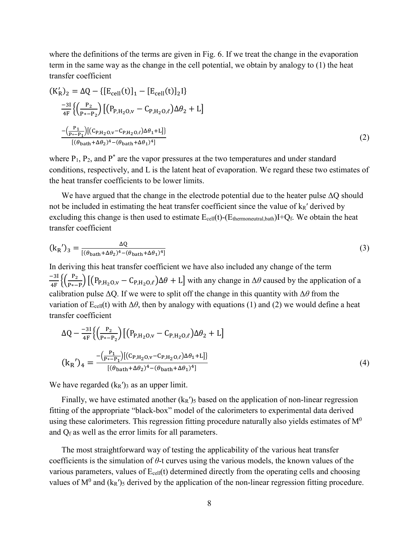where the definitions of the terms are given in Fig. 6. If we treat the change in the evaporation term in the same way as the change in the cell potential, we obtain by analogy to (1) the heat transfer coefficient

$$
(K'_{R})_{2} = \Delta Q - \{ [E_{cell}(t)]_{1} - [E_{cell}(t)]_{2} \}
$$
  
\n
$$
\frac{-3I}{4F} \{ \left( \frac{P_{2}}{P_{*} - P_{2}} \right) \left[ (P_{P,H_{2}O,V} - C_{P,H_{2}O,\ell}) \Delta \theta_{2} + L \right]
$$
  
\n
$$
\frac{-\left( \frac{P_{1}}{P_{*} - P_{1}} \right) \left[ (C_{P,H_{2}O,V} - C_{P,H_{2}O,\ell}) \Delta \theta_{1} + L \right]}{\left[ (\theta_{bath} + \Delta \theta_{2})^{4} - (\theta_{bath} + \Delta \theta_{1})^{4} \right]}
$$
\n(2)

where  $P_1$ ,  $P_2$ , and  $P^*$  are the vapor pressures at the two temperatures and under standard conditions, respectively, and L is the latent heat of evaporation. We regard these two estimates of the heat transfer coefficients to be lower limits.

We have argued that the change in the electrode potential due to the heater pulse ΔQ should not be included in estimating the heat transfer coefficient since the value of  $k_R'$  derived by excluding this change is then used to estimate  $E_{cell}(t)$ -( $E_{thermone, utral, bath}$ )I+Qf. We obtain the heat transfer coefficient

$$
(\mathbf{k}_{\mathsf{R}}')_3 = \frac{\Delta \mathbf{Q}}{[(\theta_{\mathsf{bath}} + \Delta \theta_2)^4 - (\theta_{\mathsf{bath}} + \Delta \theta_1)^4]}
$$
(3)

In deriving this heat transfer coefficient we have also included any change of the term  $-\frac{31}{4F} \left\{ \left( \frac{P_2}{P_{*}-P} \right) \left[ \left( P_{P,H_2O,v} - C_{P,H_2O,\ell} \right) \Delta \theta + L \right]$  with any change in  $\Delta \theta$  caused by the application of a calibration pulse ΔQ. If we were to split off the change in this quantity with Δ*θ* from the variation of  $E_{cell}(t)$  with  $\Delta\theta$ , then by analogy with equations (1) and (2) we would define a heat transfer coefficient

$$
\Delta Q - \frac{-3I}{4F} \left\{ \left( \frac{P_2}{P_{*} - P_2} \right) \left[ \left( P_{P,H_2O,v} - C_{P,H_2O,\ell} \right) \Delta \theta_2 + L \right] \right\}
$$
  

$$
\left( k_R' \right)_4 = \frac{-\left( \frac{P_1}{P_{*} - P_1} \right) \left[ \left( C_{P,H_2O,v} - C_{P,H_2O,\ell} \right) \Delta \theta_1 + L \right]}{\left[ \left( \theta_{\text{bath}} + \Delta \theta_2 \right)^4 - \left( \theta_{\text{bath}} + \Delta \theta_1 \right)^4 \right]}
$$
(4)

We have regarded  $(k_R)$ <sup>3</sup> as an upper limit.

Finally, we have estimated another  $(k_R')_5$  based on the application of non-linear regression fitting of the appropriate "black-box" model of the calorimeters to experimental data derived using these calorimeters. This regression fitting procedure naturally also yields estimates of  $M<sup>0</sup>$ and  $Q_f$  as well as the error limits for all parameters.

The most straightforward way of testing the applicability of the various heat transfer coefficients is the simulation of *θ*-t curves using the various models, the known values of the various parameters, values of  $E_{cell}(t)$  determined directly from the operating cells and choosing values of  $M^0$  and  $(k_R')_5$  derived by the application of the non-linear regression fitting procedure.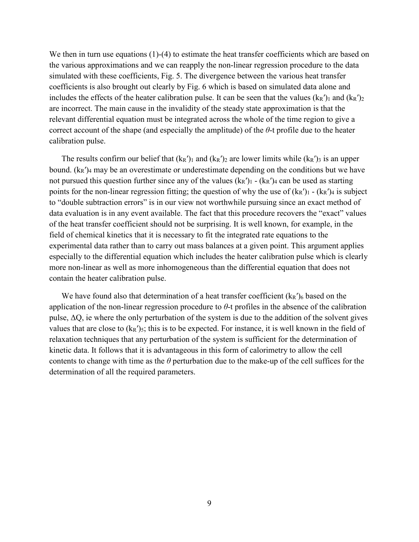We then in turn use equations (1)-(4) to estimate the heat transfer coefficients which are based on the various approximations and we can reapply the non-linear regression procedure to the data simulated with these coefficients, Fig. 5. The divergence between the various heat transfer coefficients is also brought out clearly by Fig. 6 which is based on simulated data alone and includes the effects of the heater calibration pulse. It can be seen that the values  $(k_R')_1$  and  $(k_R')_2$ are incorrect. The main cause in the invalidity of the steady state approximation is that the relevant differential equation must be integrated across the whole of the time region to give a correct account of the shape (and especially the amplitude) of the *θ*-t profile due to the heater calibration pulse.

The results confirm our belief that  $(k_R')_1$  and  $(k_R')_2$  are lower limits while  $(k_R')_3$  is an upper bound.  $(k_R')_4$  may be an overestimate or underestimate depending on the conditions but we have not pursued this question further since any of the values  $(k_R')_1 - (k_R')_4$  can be used as starting points for the non-linear regression fitting; the question of why the use of  $(k_R')_1 - (k_R')_4$  is subject to "double subtraction errors" is in our view not worthwhile pursuing since an exact method of data evaluation is in any event available. The fact that this procedure recovers the "exact" values of the heat transfer coefficient should not be surprising. It is well known, for example, in the field of chemical kinetics that it is necessary to fit the integrated rate equations to the experimental data rather than to carry out mass balances at a given point. This argument applies especially to the differential equation which includes the heater calibration pulse which is clearly more non-linear as well as more inhomogeneous than the differential equation that does not contain the heater calibration pulse.

We have found also that determination of a heat transfer coefficient  $(k_R')_6$  based on the application of the non-linear regression procedure to *θ*-t profiles in the absence of the calibration pulse,  $\Delta Q$ , ie where the only perturbation of the system is due to the addition of the solvent gives values that are close to  $(k_R')_5$ ; this is to be expected. For instance, it is well known in the field of relaxation techniques that any perturbation of the system is sufficient for the determination of kinetic data. It follows that it is advantageous in this form of calorimetry to allow the cell contents to change with time as the *θ* perturbation due to the make-up of the cell suffices for the determination of all the required parameters.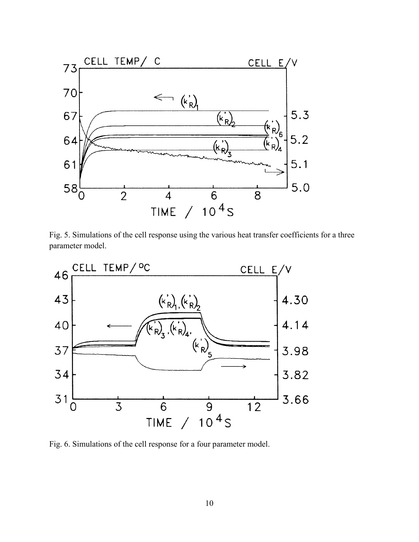

Fig. 5. Simulations of the cell response using the various heat transfer coefficients for a three parameter model.



Fig. 6. Simulations of the cell response for a four parameter model.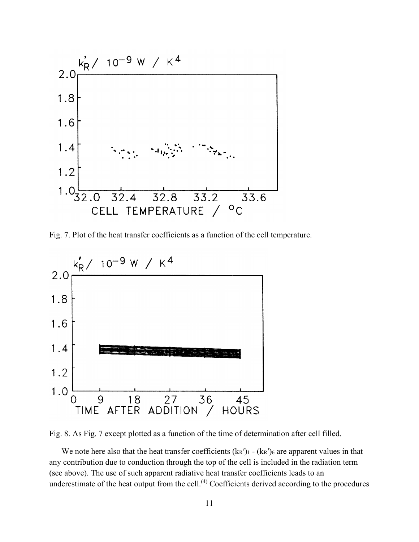

Fig. 7. Plot of the heat transfer coefficients as a function of the cell temperature.



Fig. 8. As Fig. 7 except plotted as a function of the time of determination after cell filled.

We note here also that the heat transfer coefficients  $(k_R')_1 - (k_R')_6$  are apparent values in that any contribution due to conduction through the top of the cell is included in the radiation term (see above). The use of such apparent radiative heat transfer coefficients leads to an underestimate of the heat output from the cell.<sup>(4)</sup> Coefficients derived according to the procedures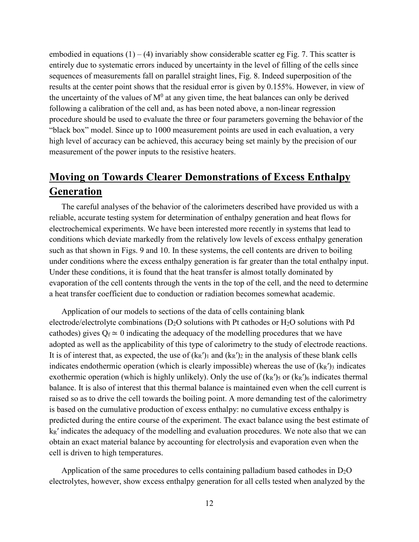embodied in equations  $(1) - (4)$  invariably show considerable scatter eg Fig. 7. This scatter is entirely due to systematic errors induced by uncertainty in the level of filling of the cells since sequences of measurements fall on parallel straight lines, Fig. 8. Indeed superposition of the results at the center point shows that the residual error is given by 0.155%. However, in view of the uncertainty of the values of  $M^0$  at any given time, the heat balances can only be derived following a calibration of the cell and, as has been noted above, a non-linear regression procedure should be used to evaluate the three or four parameters governing the behavior of the "black box" model. Since up to 1000 measurement points are used in each evaluation, a very high level of accuracy can be achieved, this accuracy being set mainly by the precision of our measurement of the power inputs to the resistive heaters.

## **Moving on Towards Clearer Demonstrations of Excess Enthalpy Generation**

The careful analyses of the behavior of the calorimeters described have provided us with a reliable, accurate testing system for determination of enthalpy generation and heat flows for electrochemical experiments. We have been interested more recently in systems that lead to conditions which deviate markedly from the relatively low levels of excess enthalpy generation such as that shown in Figs. 9 and 10. In these systems, the cell contents are driven to boiling under conditions where the excess enthalpy generation is far greater than the total enthalpy input. Under these conditions, it is found that the heat transfer is almost totally dominated by evaporation of the cell contents through the vents in the top of the cell, and the need to determine a heat transfer coefficient due to conduction or radiation becomes somewhat academic.

Application of our models to sections of the data of cells containing blank electrode/electrolyte combinations ( $D_2O$  solutions with Pt cathodes or  $H_2O$  solutions with Pd cathodes) gives  $Q_f \approx 0$  indicating the adequacy of the modelling procedures that we have adopted as well as the applicability of this type of calorimetry to the study of electrode reactions. It is of interest that, as expected, the use of  $(k_R')_1$  and  $(k_R')_2$  in the analysis of these blank cells indicates endothermic operation (which is clearly impossible) whereas the use of  $(k<sub>R</sub>'')<sub>3</sub>$  indicates exothermic operation (which is highly unlikely). Only the use of  $(k_R')_5$  or  $(k_R')_6$  indicates thermal balance. It is also of interest that this thermal balance is maintained even when the cell current is raised so as to drive the cell towards the boiling point. A more demanding test of the calorimetry is based on the cumulative production of excess enthalpy: no cumulative excess enthalpy is predicted during the entire course of the experiment. The exact balance using the best estimate of  $k_R'$  indicates the adequacy of the modelling and evaluation procedures. We note also that we can obtain an exact material balance by accounting for electrolysis and evaporation even when the cell is driven to high temperatures.

Application of the same procedures to cells containing palladium based cathodes in  $D_2O$ electrolytes, however, show excess enthalpy generation for all cells tested when analyzed by the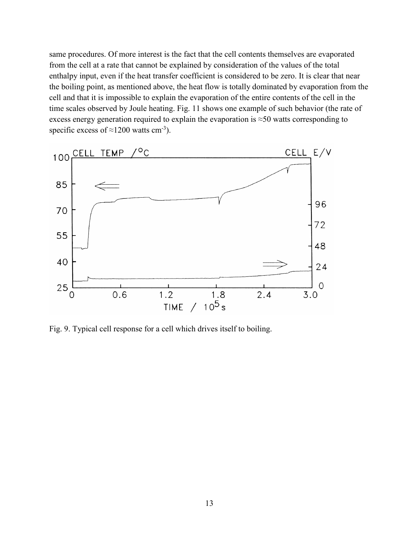same procedures. Of more interest is the fact that the cell contents themselves are evaporated from the cell at a rate that cannot be explained by consideration of the values of the total enthalpy input, even if the heat transfer coefficient is considered to be zero. It is clear that near the boiling point, as mentioned above, the heat flow is totally dominated by evaporation from the cell and that it is impossible to explain the evaporation of the entire contents of the cell in the time scales observed by Joule heating. Fig. 11 shows one example of such behavior (the rate of excess energy generation required to explain the evaporation is ≈50 watts corresponding to specific excess of  $\approx$ 1200 watts cm<sup>-3</sup>).



Fig. 9. Typical cell response for a cell which drives itself to boiling.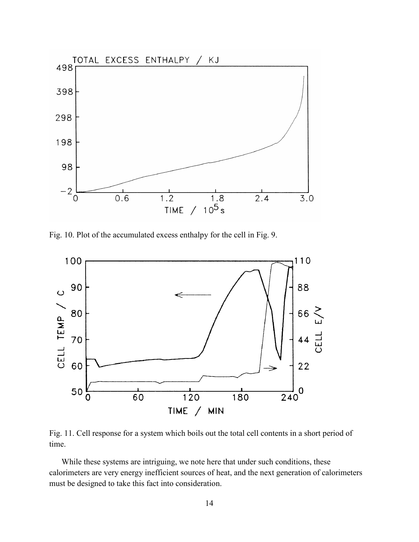

Fig. 10. Plot of the accumulated excess enthalpy for the cell in Fig. 9.



Fig. 11. Cell response for a system which boils out the total cell contents in a short period of time.

While these systems are intriguing, we note here that under such conditions, these calorimeters are very energy inefficient sources of heat, and the next generation of calorimeters must be designed to take this fact into consideration.